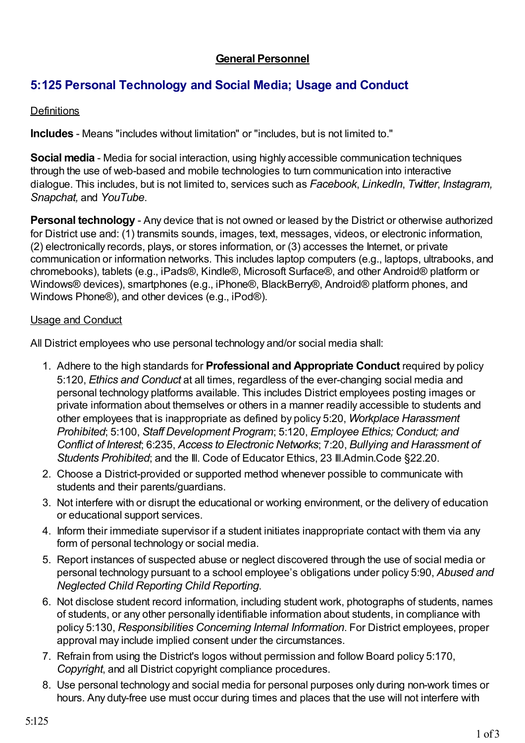## **General Personnel**

## **5:125 Personal Technology and Social Media; Usage and Conduct**

## **Definitions**

**Includes** - Means "includes without limitation" or "includes, but is not limited to."

**Social media** - Media for social interaction, using highly accessible communication techniques through the use of web-based and mobile technologies to turn communication into interactive dialogue. This includes, but is not limited to, services such as *Facebook*, *LinkedIn*, *Twitter*, *Instagram, Snapchat,* and *YouTube*.

**Personal technology** - Any device that is not owned or leased by the District or otherwise authorized for District use and: (1) transmits sounds, images, text, messages, videos, or electronic information, (2) electronically records, plays, or stores information, or (3) accesses the Internet, or private communication or information networks. This includes laptop computers (e.g., laptops, ultrabooks, and chromebooks), tablets (e.g., iPads®, Kindle®, Microsoft Surface®, and other Android® platform or Windows® devices), smartphones (e.g., iPhone®, BlackBerry®, Android® platform phones, and Windows Phone®), and other devices (e.g., iPod®).

## Usage and Conduct

All District employees who use personal technology and/or social media shall:

- 1. Adhere to the high standards for **Professional and Appropriate Conduct** required by policy 5:120, *Ethics and Conduct* at all times, regardless of the ever-changing social media and personal technology platforms available. This includes District employees posting images or private information about themselves or others in a manner readily accessible to students and other employees that is inappropriate as defined by policy 5:20, *Workplace Harassment Prohibited*; 5:100, *Staff Development Program*; 5:120, *Employee Ethics; Conduct; and Conflict of Interest*; 6:235, *Access to Electronic Networks*; 7:20, *Bullying and Harassment of Students Prohibited*; and the Ill. Code of Educator Ethics, 23 Ill.Admin.Code §22.20.
- 2. Choose a District-provided or supported method whenever possible to communicate with students and their parents/guardians.
- 3. Not interfere with or disrupt the educational or working environment, or the delivery of education or educational support services.
- 4. Inform their immediate supervisor if a student initiates inappropriate contact with them via any form of personal technology or social media.
- 5. Report instances of suspected abuse or neglect discovered through the use of social media or personal technology pursuant to a school employee's obligations under policy 5:90, *Abused and Neglected Child Reporting Child Reporting*.
- 6. Not disclose student record information, including student work, photographs of students, names of students, or any other personally identifiable information about students, in compliance with policy 5:130, *Responsibilities Concerning Internal Information*. For District employees, proper approval may include implied consent under the circumstances.
- 7. Refrain from using the District's logos without permission and follow Board policy 5:170, *Copyright*, and all District copyright compliance procedures.
- 8. Use personal technology and social media for personal purposes only during non-work times or hours. Any duty-free use must occur during times and places that the use will not interfere with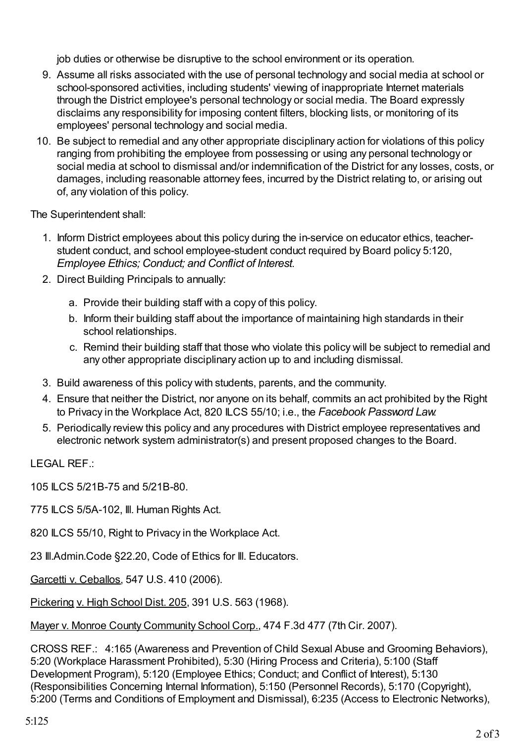job duties or otherwise be disruptive to the school environment or its operation.

- 9. Assume all risks associated with the use of personal technology and social media at school or school-sponsored activities, including students' viewing of inappropriate Internet materials through the District employee's personal technology or social media. The Board expressly disclaims any responsibility for imposing content filters, blocking lists, or monitoring of its employees' personal technology and social media.
- 10. Be subject to remedial and any other appropriate disciplinary action for violations of this policy ranging from prohibiting the employee from possessing or using any personal technology or social media at school to dismissal and/or indemnification of the District for any losses, costs, or damages, including reasonable attorney fees, incurred by the District relating to, or arising out of, any violation of this policy.

The Superintendent shall:

- 1. Inform District employees about this policy during the in-service on educator ethics, teacherstudent conduct, and school employee-student conduct required by Board policy 5:120, *Employee Ethics; Conduct; and Conflict of Interest*.
- 2. Direct Building Principals to annually:
	- a. Provide their building staff with a copy of this policy.
	- b. Inform their building staff about the importance of maintaining high standards in their school relationships.
	- c. Remind their building staff that those who violate this policy will be subject to remedial and any other appropriate disciplinary action up to and including dismissal.
- 3. Build awareness of this policy with students, parents, and the community.
- 4. Ensure that neither the District, nor anyone on its behalf, commits an act prohibited by the Right to Privacy in the Workplace Act, 820 ILCS 55/10; i.e., the *Facebook Password Law*.
- 5. Periodically review this policy and any procedures with District employee representatives and electronic network system administrator(s) and present proposed changes to the Board.

LEGAL REF.:

105 ILCS 5/21B-75 and 5/21B-80.

775 ILCS 5/5A-102, Ill. Human Rights Act.

820 ILCS 55/10, Right to Privacy in the Workplace Act.

23 Ill.Admin.Code §22.20, Code of Ethics for Ill. Educators.

Garcetti v. Ceballos, 547 U.S. 410 (2006).

Pickering v. High School Dist. 205, 391 U.S. 563 (1968).

Mayer v. Monroe County Community School Corp., 474 F.3d 477 (7th Cir. 2007).

CROSS REF.: 4:165 (Awareness and Prevention of Child Sexual Abuse and Grooming Behaviors), 5:20 (Workplace Harassment Prohibited), 5:30 (Hiring Process and Criteria), 5:100 (Staff Development Program), 5:120 (Employee Ethics; Conduct; and Conflict of Interest), 5:130 (Responsibilities Concerning Internal Information), 5:150 (Personnel Records), 5:170 (Copyright), 5:200 (Terms and Conditions of Employment and Dismissal), 6:235 (Access to Electronic Networks),